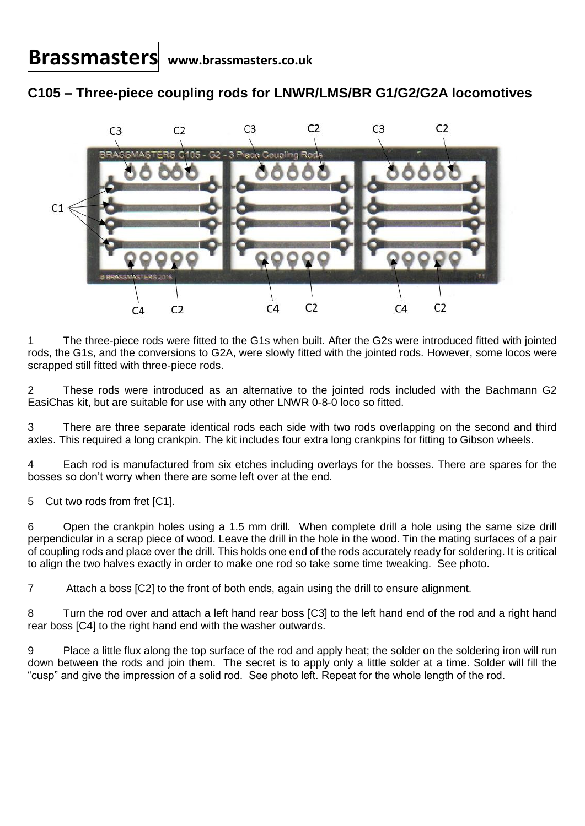**Brassmasters www.brassmasters.co.uk**

## **C105 – Three-piece coupling rods for LNWR/LMS/BR G1/G2/G2A locomotives**



1 The three-piece rods were fitted to the G1s when built. After the G2s were introduced fitted with jointed rods, the G1s, and the conversions to G2A, were slowly fitted with the jointed rods. However, some locos were scrapped still fitted with three-piece rods.

2 These rods were introduced as an alternative to the jointed rods included with the Bachmann G2 EasiChas kit, but are suitable for use with any other LNWR 0-8-0 loco so fitted.

3 There are three separate identical rods each side with two rods overlapping on the second and third axles. This required a long crankpin. The kit includes four extra long crankpins for fitting to Gibson wheels.

4 Each rod is manufactured from six etches including overlays for the bosses. There are spares for the bosses so don't worry when there are some left over at the end.

5 Cut two rods from fret [C1].

6 Open the crankpin holes using a 1.5 mm drill. When complete drill a hole using the same size drill perpendicular in a scrap piece of wood. Leave the drill in the hole in the wood. Tin the mating surfaces of a pair of coupling rods and place over the drill. This holds one end of the rods accurately ready for soldering. It is critical to align the two halves exactly in order to make one rod so take some time tweaking. See photo.

7 Attach a boss [C2] to the front of both ends, again using the drill to ensure alignment.

8 Turn the rod over and attach a left hand rear boss [C3] to the left hand end of the rod and a right hand rear boss [C4] to the right hand end with the washer outwards.

9 Place a little flux along the top surface of the rod and apply heat; the solder on the soldering iron will run down between the rods and join them. The secret is to apply only a little solder at a time. Solder will fill the "cusp" and give the impression of a solid rod. See photo left. Repeat for the whole length of the rod.